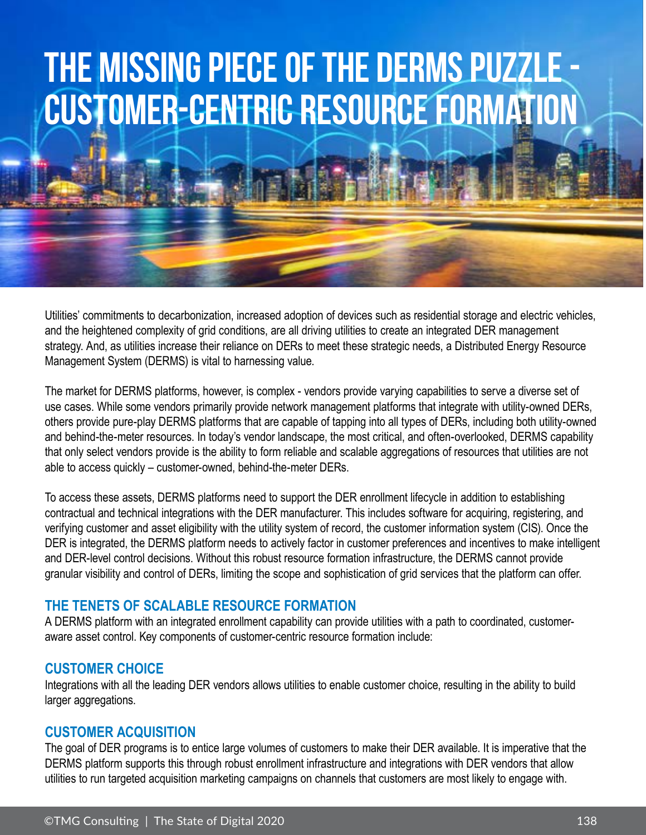# **The Missing Piece of the DERMS Puzzle - Customer-Centric Resource Formation**

Utilities' commitments to decarbonization, increased adoption of devices such as residential storage and electric vehicles, and the heightened complexity of grid conditions, are all driving utilities to create an integrated DER management strategy. And, as utilities increase their reliance on DERs to meet these strategic needs, a Distributed Energy Resource Management System (DERMS) is vital to harnessing value.

The market for DERMS platforms, however, is complex - vendors provide varying capabilities to serve a diverse set of use cases. While some vendors primarily provide network management platforms that integrate with utility-owned DERs, others provide pure-play DERMS platforms that are capable of tapping into all types of DERs, including both utility-owned and behind-the-meter resources. In today's vendor landscape, the most critical, and often-overlooked, DERMS capability that only select vendors provide is the ability to form reliable and scalable aggregations of resources that utilities are not able to access quickly – customer-owned, behind-the-meter DERs.

To access these assets, DERMS platforms need to support the DER enrollment lifecycle in addition to establishing contractual and technical integrations with the DER manufacturer. This includes software for acquiring, registering, and verifying customer and asset eligibility with the utility system of record, the customer information system (CIS). Once the DER is integrated, the DERMS platform needs to actively factor in customer preferences and incentives to make intelligent and DER-level control decisions. Without this robust resource formation infrastructure, the DERMS cannot provide granular visibility and control of DERs, limiting the scope and sophistication of grid services that the platform can offer.

### **THE TENETS OF SCALABLE RESOURCE FORMATION**

A DERMS platform with an integrated enrollment capability can provide utilities with a path to coordinated, customeraware asset control. Key components of customer-centric resource formation include:

### **CUSTOMER CHOICE**

Integrations with all the leading DER vendors allows utilities to enable customer choice, resulting in the ability to build larger aggregations.

### **CUSTOMER ACQUISITION**

The goal of DER programs is to entice large volumes of customers to make their DER available. It is imperative that the DERMS platform supports this through robust enrollment infrastructure and integrations with DER vendors that allow utilities to run targeted acquisition marketing campaigns on channels that customers are most likely to engage with.